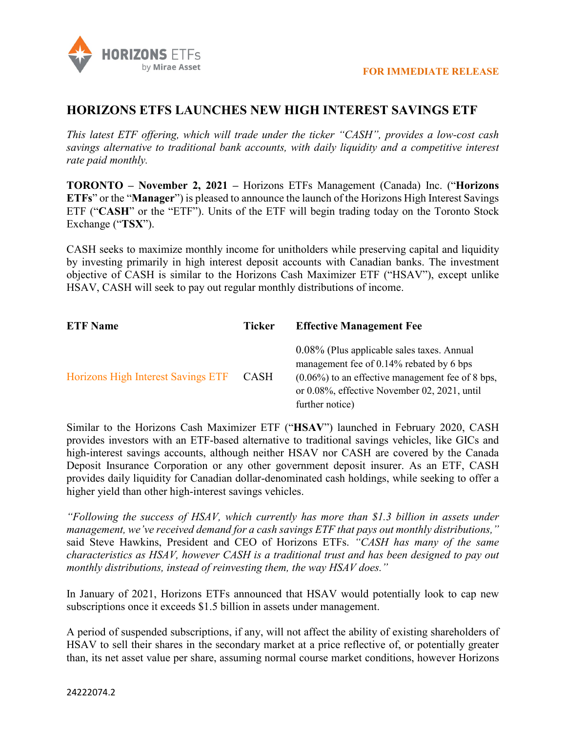

## **HORIZONS ETFS LAUNCHES NEW HIGH INTEREST SAVINGS ETF**

*This latest ETF offering, which will trade under the ticker "CASH", provides a low-cost cash savings alternative to traditional bank accounts, with daily liquidity and a competitive interest rate paid monthly.*

**TORONTO – November 2, 2021 –** Horizons ETFs Management (Canada) Inc. ("**Horizons ETFs**" or the "**Manager**") is pleased to announce the launch of the Horizons High Interest Savings ETF ("**CASH**" or the "ETF"). Units of the ETF will begin trading today on the Toronto Stock Exchange ("**TSX**").

CASH seeks to maximize monthly income for unitholders while preserving capital and liquidity by investing primarily in high interest deposit accounts with Canadian banks. The investment objective of CASH is similar to the Horizons Cash Maximizer ETF ("HSAV"), except unlike HSAV, CASH will seek to pay out regular monthly distributions of income.

| <b>ETF</b> Name                    | <b>Ticker</b> | <b>Effective Management Fee</b>                                                                                                                                                                                  |
|------------------------------------|---------------|------------------------------------------------------------------------------------------------------------------------------------------------------------------------------------------------------------------|
| Horizons High Interest Savings ETF | <b>CASH</b>   | 0.08% (Plus applicable sales taxes. Annual<br>management fee of 0.14% rebated by 6 bps<br>$(0.06\%)$ to an effective management fee of 8 bps,<br>or 0.08%, effective November 02, 2021, until<br>further notice) |

Similar to the Horizons Cash Maximizer ETF ("**HSAV**") launched in February 2020, CASH provides investors with an ETF-based alternative to traditional savings vehicles, like GICs and high-interest savings accounts, although neither HSAV nor CASH are covered by the Canada Deposit Insurance Corporation or any other government deposit insurer. As an ETF, CASH provides daily liquidity for Canadian dollar-denominated cash holdings, while seeking to offer a higher yield than other high-interest savings vehicles.

*"Following the success of HSAV, which currently has more than \$1.3 billion in assets under management, we've received demand for a cash savings ETF that pays out monthly distributions,"* said Steve Hawkins, President and CEO of Horizons ETFs. *"CASH has many of the same characteristics as HSAV, however CASH is a traditional trust and has been designed to pay out monthly distributions, instead of reinvesting them, the way HSAV does."* 

In January of 2021, Horizons ETFs announced that HSAV would potentially look to cap new subscriptions once it exceeds \$1.5 billion in assets under management.

A period of suspended subscriptions, if any, will not affect the ability of existing shareholders of HSAV to sell their shares in the secondary market at a price reflective of, or potentially greater than, its net asset value per share, assuming normal course market conditions, however Horizons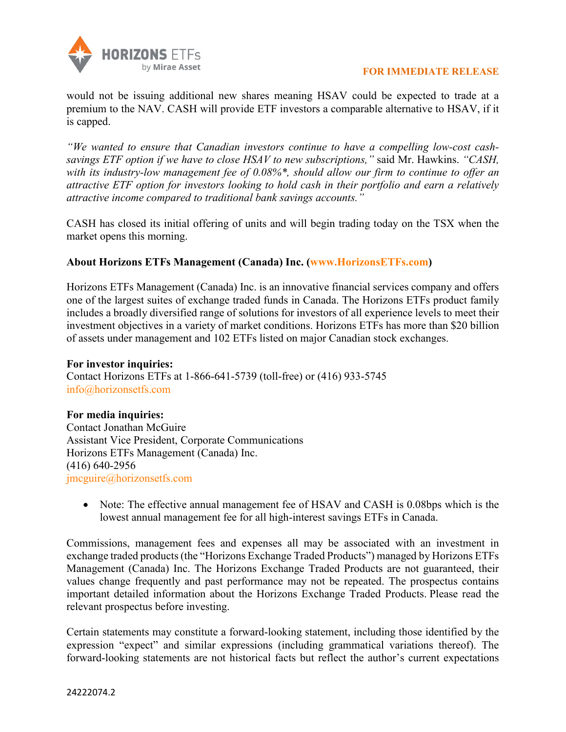

would not be issuing additional new shares meaning HSAV could be expected to trade at a premium to the NAV. CASH will provide ETF investors a comparable alternative to HSAV, if it is capped.

*"We wanted to ensure that Canadian investors continue to have a compelling low-cost cashsavings ETF option if we have to close HSAV to new subscriptions,"* said Mr. Hawkins. *"CASH, with its industry-low management fee of 0.08%\*, should allow our firm to continue to offer an attractive ETF option for investors looking to hold cash in their portfolio and earn a relatively attractive income compared to traditional bank savings accounts."* 

CASH has closed its initial offering of units and will begin trading today on the TSX when the market opens this morning.

## **About Horizons ETFs Management (Canada) Inc. [\(www.HorizonsETFs.com\)](http://www.horizonsetfs.com/)**

Horizons ETFs Management (Canada) Inc. is an innovative financial services company and offers one of the largest suites of exchange traded funds in Canada. The Horizons ETFs product family includes a broadly diversified range of solutions for investors of all experience levels to meet their investment objectives in a variety of market conditions. Horizons ETFs has more than \$20 billion of assets under management and 102 ETFs listed on major Canadian stock exchanges.

**For investor inquiries:** Contact Horizons ETFs at 1-866-641-5739 (toll-free) or (416) 933-5745 [info@horizonsetfs.com](mailto:info@horizonsetfs.com)

## **For media inquiries:**

Contact Jonathan McGuire Assistant Vice President, Corporate Communications Horizons ETFs Management (Canada) Inc. (416) 640-2956 [jmcguire@horizonsetfs.com](mailto:jmcguire@horizonsetfs.com)

• Note: The effective annual management fee of HSAV and CASH is 0.08bps which is the lowest annual management fee for all high-interest savings ETFs in Canada.

Commissions, management fees and expenses all may be associated with an investment in exchange traded products (the "Horizons Exchange Traded Products") managed by Horizons ETFs Management (Canada) Inc. The Horizons Exchange Traded Products are not guaranteed, their values change frequently and past performance may not be repeated. The prospectus contains important detailed information about the Horizons Exchange Traded Products. Please read the relevant prospectus before investing.

Certain statements may constitute a forward-looking statement, including those identified by the expression "expect" and similar expressions (including grammatical variations thereof). The forward-looking statements are not historical facts but reflect the author's current expectations